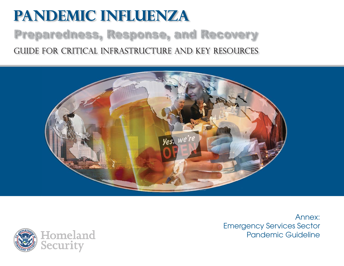# **Pandemic Influenza** Preparedness, Response, and Recovery Guide for critical infrastructure and key resources





Annex:Emergency Services Sector Pandemic Guideline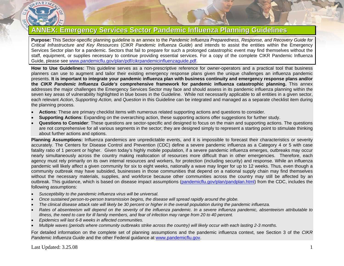

## **ANNEX: Emergency Services Sector Pandemic Influenza Planning Guidelines**

**Purpose:** This Sector-specific planning guideline is an annex to the *Pandemic Influenza Preparedness, Response, and Recovery Guide for Critical Infrastructure and Key Resources* (*CIKR Pandemic Influenza Guide*) and intends to assist the entities within the Emergency Services Sector plan for a pandemic. Sectors that fail to prepare for such a prolonged catastrophic event may find themselves without the staff, equipment, or supplies necessary to continue providing essential services. For a copy of the complete CIKR Pandemic Influenza Guide, please see [www.pandemicflu.gov/plan/pdf/cikrpandemicinfluenzaguide.pdf](http://www.pandemicflu.gov/plan/pdf/cikrpandemicinfluenzaguide.pdf).

**How to Use Guidelines:** This guideline serves as a non-prescriptive reference for owner-operators and a practical tool that business planners can use to augment and tailor their existing emergency response plans given the unique challenges an influenza pandemic presents. **It is important to integrate your pandemic influenza plan with business continuity and emergency response plans and/or the** *CIKR Pandemic Influenza Guide's* **comprehensive framework for pandemic influenza catastrophic planning.** This annex addresses the major challenges the Emergency Services Sector may face and should assess in its pandemic influenza planning within the seven key areas of vulnerability highlighted in blue boxes in the Guideline. While not necessarily applicable to all entities in a given sector, each relevant *Action*, *Supporting Action,* and *Question* in this Guideline can be integrated and managed as a separate checklist item during the planning process.

- •**Actions**: These are primary checklist items with numerous related supporting actions and questions to consider.
- •**Supporting Actions**: Expanding on the overarching action, these supporting actions offer suggestions for further study.
- • **Questions to Consider**: These questions are sector-specific and designed to focus on the main and supporting actions. The questions are not comprehensive for all various segments in the sector; they are designed simply to represent a starting point to stimulate thinking about further actions and options.

**Planning Assumptions:** Influenza pandemics are unpredictable events, and it is impossible to forecast their characteristics or severity accurately. The Centers for Disease Control and Prevention (CDC) define a severe pandemic influenza as a Category 4 or 5 with case fatality ratio of 1 percent or higher. Given today's highly mobile population, if a severe pandemic influenza emerges, outbreaks may occur nearly simultaneously across the country making reallocation of resources more difficult than in other emergencies. Therefore, each agency must rely primarily on its own internal resources and workers, for protection (including security) and response. While an influenza pandemic will likely affect a given community for six to eight weeks, nationally a wave may linger for up to 12 weeks. Thus, even though a community outbreak may have subsided, businesses in those communities that depend on a national supply chain may find themselves without the necessary materials, supplies, and workforce because other communities across the country may still be affected by an outbreak. This guidance, which is based on disease impact assumptions ([pandemicflu.gov/plan/pandplan.html](http://pandemicflu.gov/plan/pandplan.html)) from the CDC, includes the following assumptions:

- •*Susceptibility to the pandemic influenza virus will be universal.*
- •*Once sustained person-to-person transmission begins, the disease will spread rapidly around the globe.*
- •*The clinical disease attack rate will likely be 30 percent or higher in the overall population during the pandemic influenza.*
- • *Rates of absenteeism will depend on the severity of the influenza pandemic. In a severe influenza pandemic, absenteeism attributable to illness, the need to care for ill family members, and fear of infection may range from 20 to 40 percent.*
- •*Epidemics will last 6-8 weeks in affected communities.*
- •*Multiple waves (periods where community outbreaks strike across the country) will likely occur with each lasting 2-3 months.*

For detailed information on the complete set of planning assumptions and the pandemic influenza context, see Section 3 of the *CIKR Pandemic Influenza Guide* and the other Federal guidance at [www.pandemicflu.gov](http://www.pandemicflu.gov/).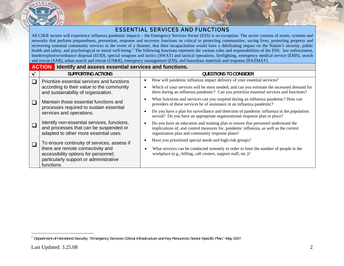

### ESSENTIAL SERVICES AND FUNCTIONS

All CIKR sectors will experience influenza pandemic impacts – the Emergency Services Sector (ESS) is no exception. The sector consists of assets, systems and networks that perform preparedness, prevention, response and recovery functions so critical to protecting communities, saving lives, protecting property and recovering essential community services in the event of a disaster, that their incapacitation would have a debilitating impact on the Nation's security, public health and safety, and psychological or moral well-being.<sup>[1](#page-2-0)</sup> The following functions represent the various roles and responsibilities of the ESS: law enforcement, bomb/explosive/ordnance disposal (EOD), special weapons and tactics (SWAT) and tactical operations, firefighting, emergency medical service (EMS), search and rescue (SAR), urban search and rescue (US&R), emergency management (EM), and hazardous materials and response (HAZMAT).

#### **ACTION** Identify and assess essential services and functions.

|  | <b>SUPPORTING ACTIONS</b>                                                                                                         | QUESTIONS TO CONSIDER                                                                                                                                                                                                          |
|--|-----------------------------------------------------------------------------------------------------------------------------------|--------------------------------------------------------------------------------------------------------------------------------------------------------------------------------------------------------------------------------|
|  | Prioritize essential services and functions<br>according to their value to the community                                          | How will pandemic influenza impact delivery of your essential services?                                                                                                                                                        |
|  | and sustainability of organization.                                                                                               | Which of your services will be most needed, and can you estimate the increased demand for<br>them during an influenza pandemic? Can you prioritize essential services and functions?                                           |
|  | Maintain those essential functions and<br>processes required to sustain essential<br>services and operations.                     | What functions and services can you suspend during an influenza pandemic? How can<br>providers of these services be of assistance in an influenza pandemic?                                                                    |
|  |                                                                                                                                   | Do you have a plan for surveillance and detection of pandemic influenza in the population<br>served? Do you have an appropriate organizational response plan in place?                                                         |
|  | Identify non-essential services, functions,<br>and processes that can be suspended or<br>adapted to other more essential uses.    | Do you have an education and training plan to ensure that personnel understand the<br>implications of, and control measures for, pandemic influenza, as well as the current<br>organization plan and community response plans? |
|  | To ensure continuity of services, assess if                                                                                       | Have you prioritized special needs and high-risk groups?                                                                                                                                                                       |
|  | there are remote connectivity and<br>accessibility options for personnel;<br>particularly support or administrative<br>functions. | What services can be conducted remotely in order to limit the number of people in the<br>workplace (e.g., billing, call centers, support staff, etc.)?                                                                         |

<span id="page-2-0"></span><sup>&</sup>lt;sup>1</sup> Department of Homeland Security. "Emergency Services Critical Infrastructure and Key Resources Sector-Specific Plan," May 2007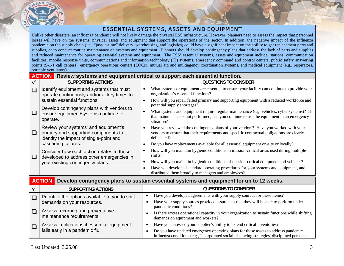### ESSENTIAL SYSTEMS, ASSETS AND EQUIPMENT

Unlike other disasters, an influenza pandemic will not likely damage the physical ESS infrastructure. However, planners need to assess the impact that personnel losses will have on the systems, physical assets and equipment that support the operations of the sector. In addition, the negative impact of the influenza pandemic on the supply chain (i.e., "just-in-time" delivery, warehousing, and logistics) could have a significant impact on the ability to get replacement parts and supplies, or to conduct routine maintenance on systems and equipment. Planners should develop contingency plans that address the lack of parts and supplies and reduced maintenance for operating essential systems and equipment. The ESS' essential systems, assets and equipment include: stations, communication facilities, mobile response units, communications and information technology (IT) systems, emergency command and control centers, public safety answering points (9-1-1 call centers), emergency operations centers (EOCs), mutual aid and multiagency coordination systems, and medical equipment (e.g., respirators, portable ventilators).

|          | <b>ACTION</b> Review systems and equipment critical to support each essential function.                                 |                                                                                                                                                                                                     |  |  |  |
|----------|-------------------------------------------------------------------------------------------------------------------------|-----------------------------------------------------------------------------------------------------------------------------------------------------------------------------------------------------|--|--|--|
|          | <b>SUPPORTING ACTIONS</b>                                                                                               | <b>QUESTIONS TO CONSIDER</b>                                                                                                                                                                        |  |  |  |
| $\Box$   | Identify equipment and systems that must<br>operate continuously and/or at key times to                                 | What systems or equipment are essential to ensure your facility can continue to provide your<br>organization's essential functions?                                                                 |  |  |  |
|          | sustain essential functions.                                                                                            | How will you repair failed primary and supporting equipment with a reduced workforce and<br>potential supply shortages?                                                                             |  |  |  |
| $\Box$   | Develop contingency plans with vendors to<br>ensure equipment/systems continue to<br>operate.                           | What systems and equipment require regular maintenance (e.g. vehicles, cyber systems)? If<br>that maintenance is not performed, can you continue to use the equipment in an emergency<br>situation? |  |  |  |
| $\Box$   | Review your systems' and equipment's<br>primary and supporting components to<br>identify the impact of single-point and | Have you reviewed the contingency plans of your vendors? Have you worked with your<br>vendors to ensure that their requirements and specific contractual obligations are clearly<br>delineated?     |  |  |  |
|          | cascading failures.                                                                                                     | Do you have replacements available for all essential equipment on-site or locally?                                                                                                                  |  |  |  |
| $\sqcup$ | Consider how each action relates to those<br>developed to address other emergencies in                                  | How will you maintain hygienic conditions in mission-critical areas used during multiple<br>shifts?                                                                                                 |  |  |  |
|          | your existing contingency plans.                                                                                        | How will you maintain hygienic conditions of mission-critical equipment and vehicles?                                                                                                               |  |  |  |
|          |                                                                                                                         | Have you developed standard operating procedures for your systems and equipment, and<br>distributed them broadly to managers and employees?                                                         |  |  |  |
|          | <b>ACTION</b>                                                                                                           | Develop contingency plans to sustain essential systems and equipment for up to 12 weeks.                                                                                                            |  |  |  |
|          | <b>SUPPORTING ACTIONS</b>                                                                                               | <b>QUESTIONS TO CONSIDER</b>                                                                                                                                                                        |  |  |  |
| $\Box$   | Prioritize the options available to you to shift                                                                        | Have you developed agreements with your supply sources for these items?                                                                                                                             |  |  |  |
|          | demands on your resources.                                                                                              | Have your supply sources provided assurances that they will be able to perform under<br>pandemic conditions?                                                                                        |  |  |  |
|          | Assess recurring and preventative                                                                                       | Ic there execes enorgianal consolution were executed to question functions while shifting                                                                                                           |  |  |  |

• Is there excess operational capacity in your organization to sustain functions while shifting demands on equipment and workers?

- •Have you assessed your supplier's ability to extend critical inventories?
- • Do you have updated emergency operating plans for these assets to address pandemic influenza conditions (e.g., incorporated social distancing strategies, disciplined personal

maintenance requirements.

fails early in a pandemic flu.

Assess implications if essential equipment

 $\Box$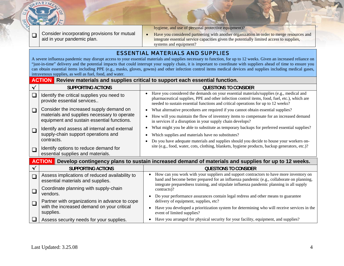

 $\Box$ 

Consider incorporating provisions for mutual aid in your pandemic plan.

hygiene, and use of personal protective equipment)?

•Have you considered partnering with another organization in order to merge resources and integrate essential service capacities given the potentially limited access to supplies, systems and equipment?

### ESSENTIAL MATERIALS AND SUPPLIES

A severe influenza pandemic may disrupt access to your essential materials and supplies necessary to function, for up to 12 weeks. Given an increased reliance on "just-in-time" delivery and the potential impacts that could interrupt your supply chain, it is important to coordinate with suppliers ahead of time to ensure you can obtain essential items including PPE (e.g., masks, gloves, gowns) and other infection control items medical devices and supplies including medical gases, intravenous supplies, as well as fuel, food, and water.

#### **ACTION** Review materials and supplies critical to support each essential function.

|                                                                                                                      | <b>SUPPORTING ACTIONS</b>                                                              | <b>QUESTIONS TO CONSIDER</b>                                                                                                                                                                                                                                                                 |
|----------------------------------------------------------------------------------------------------------------------|----------------------------------------------------------------------------------------|----------------------------------------------------------------------------------------------------------------------------------------------------------------------------------------------------------------------------------------------------------------------------------------------|
| $\Box$                                                                                                               | Identify the critical supplies you need to<br>provide essential services               | Have you considered the demands on your essential materials/supplies (e.g., medical and<br>$\bullet$<br>pharmaceutical supplies, PPE and other infection control items, food, fuel, etc.), which are<br>needed to sustain essential functions and critical operations for up to 12 weeks?    |
| $\Box$                                                                                                               | Consider the increased supply demand on<br>materials and supplies necessary to operate | What alternative procedures are required if you cannot obtain essential supplies?<br>$\bullet$<br>How will you maintain the flow of inventory items to compensate for an increased demand                                                                                                    |
|                                                                                                                      | equipment and sustain essential functions.                                             | in services if a disruption in your supply chain develops?                                                                                                                                                                                                                                   |
| $\Box$                                                                                                               | Identify and assess all internal and external                                          | What might you be able to substitute as temporary backups for preferred essential supplies?<br>$\bullet$                                                                                                                                                                                     |
|                                                                                                                      | supply-chain support operations and                                                    | Which supplies and materials have no substitutes?<br>$\bullet$                                                                                                                                                                                                                               |
|                                                                                                                      | contracts.                                                                             | Do you have adequate materials and supplies should you decide to house your workers on-<br>site (e.g., food, water, cots, clothing, blankets, hygiene products, backup generators, etc.)?                                                                                                    |
| $\Box$                                                                                                               | Identify options to reduce demand for<br>essential supplies and materials.             |                                                                                                                                                                                                                                                                                              |
| Develop contingency plans to sustain increased demand of materials and supplies for up to 12 weeks.<br><b>ACTION</b> |                                                                                        |                                                                                                                                                                                                                                                                                              |
|                                                                                                                      | <b>SUPPORTING ACTIONS</b>                                                              | <b>QUESTIONS TO CONSIDER</b>                                                                                                                                                                                                                                                                 |
| $\Box$                                                                                                               | Assess implications of reduced availability to<br>essential materials and supplies.    | How can you work with your suppliers and support contractors to have more inventory on<br>$\bullet$<br>hand and become better prepared for an influenza pandemic (e.g., collaborate on planning,<br>integrate preparedness training, and stipulate influenza pandemic planning in all supply |
| $\Box$                                                                                                               | Coordinate planning with supply-chain<br>vendors.                                      | contracts)?                                                                                                                                                                                                                                                                                  |
|                                                                                                                      |                                                                                        | Do your performance assurances contain legal redress and other means to guarantee                                                                                                                                                                                                            |
| $\Box$                                                                                                               | Partner with organizations in advance to cope                                          | delivery of equipment, supplies, etc?                                                                                                                                                                                                                                                        |
|                                                                                                                      | with the increased demand on your critical<br>supplies.                                | Have you developed a prioritization system for determining who will receive services in the<br>event of limited supplies?                                                                                                                                                                    |

 $\Box$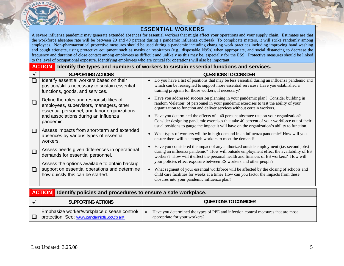

#### ESSENTIAL WORKERS

A severe influenza pandemic may generate extended absences for essential workers that might affect your operations and your supply chain. Estimates are that the workforce absentee rate will be between 20 and 40 percent during a pandemic influenza outbreak. To complicate matters, it will strike randomly among employees. Non-pharmaceutical protective measures should be used during a pandemic including changing work practices including improving hand washing and cough etiquette, using protective equipment such as masks or respirators (e.g., disposable N95s) when appropriate, and social distancing to decrease the frequency and duration of close contact among employees as difficult and unlikely as this may be, especially for the ESS. Protective measures should be linked to the level of occupational exposure. Identifying employees who are critical for operations will also be important.

#### **ACTIONIdentify the types and numbers of workers to sustain essential functions and services.**

|        | SUPPORTING ACTIONS                                                                                                                  | <b>QUESTIONS TO CONSIDER</b>                                                                                                                                                                                                                                                                         |
|--------|-------------------------------------------------------------------------------------------------------------------------------------|------------------------------------------------------------------------------------------------------------------------------------------------------------------------------------------------------------------------------------------------------------------------------------------------------|
| $\Box$ | Identify essential workers based on their<br>position/skills necessary to sustain essential<br>functions, goods, and services.      | Do you have a list of positions that may be less essential during an influenza pandemic and<br>which can be reassigned to support more essential services? Have you established a<br>training program for those workers, if necessary?                                                               |
|        | Define the roles and responsibilities of<br>employees, supervisors, managers, other<br>essential personnel, and labor organizations | Have you addressed succession planning in your pandemic plan? Consider building in<br>random 'deletion' of personnel in your pandemic exercises to test the ability of your<br>organization to function and deliver services without certain workers.                                                |
|        | and associations during an influenza<br>pandemic.                                                                                   | Have you determined the effects of a 40 percent absentee rate on your organization?<br>Consider designing pandemic exercises that take 40 percent of your workforce out of their<br>usual positions to gauge the impact it will have on the organization's ability to function.                      |
| $\Box$ | Assess impacts from short-term and extended<br>absences by various types of essential<br>workers.                                   | What types of workers will be in high demand in an influenza pandemic? How will you<br>ensure there will be enough workers to meet the demand?                                                                                                                                                       |
| $\Box$ | Assess needs given differences in operational<br>demands for essential personnel.                                                   | Have you considered the impact of any authorized outside employment (i.e. second jobs)<br>during an influenza pandemic? How will outside employment effect the availability of ES<br>workers? How will it effect the personal health and finances of ES workers? How will                            |
| $\Box$ | Assess the options available to obtain backup<br>support on essential operations and determine<br>how quickly this can be started.  | your policies effect exposure between ES workers and other people?<br>What segment of your essential workforce will be affected by the closing of schools and<br>child care facilities for weeks at a time? How can you factor the impacts from these<br>closures into your pandemic influenza plan? |
|        |                                                                                                                                     |                                                                                                                                                                                                                                                                                                      |

|        |                                                                                           | <b>ACTION</b> Identify policies and procedures to ensure a safe workplace.                                         |  |  |
|--------|-------------------------------------------------------------------------------------------|--------------------------------------------------------------------------------------------------------------------|--|--|
|        | SUPPORTING ACTIONS                                                                        | QUESTIONS TO CONSIDER                                                                                              |  |  |
| $\Box$ | Emphasize worker/workplace disease control/<br>protection. See: www.pandemicflu.gov/plan/ | Have you determined the types of PPE and infection control measures that are most<br>appropriate for your workers? |  |  |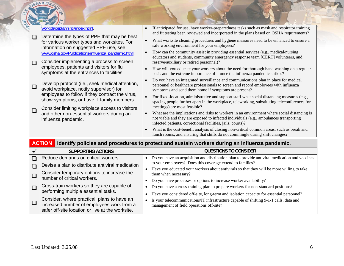|                                                                                               | workplaceplanning/index.html.                                                                                                                                                               | If anticipated for use, have worker-preparedness tasks such as mask and respirator training<br>and fit testing been reviewed and incorporated in the plans based on OSHA requirements?                                                                                               |
|-----------------------------------------------------------------------------------------------|---------------------------------------------------------------------------------------------------------------------------------------------------------------------------------------------|--------------------------------------------------------------------------------------------------------------------------------------------------------------------------------------------------------------------------------------------------------------------------------------|
| $\Box$                                                                                        | Determine the types of PPE that may be best<br>for various worker types and worksites. For<br>information on suggested PPE use, see:                                                        | What worksite cleaning procedures and hygiene measures need to be enhanced to ensure a<br>safe working environment for your employees?                                                                                                                                               |
| $\Box$                                                                                        | www.osha.gov/Publications/influenza_pandemic.html.<br>Consider implementing a process to screen                                                                                             | How can the community assist in providing essential services (e.g., medical/nursing<br>educators and students, community emergency response team [CERT] volunteers, and<br>reserve/auxiliary or retired personnel)?                                                                  |
|                                                                                               | employees, patients and visitors for flu<br>symptoms at the entrances to facilities.                                                                                                        | How will you educate your workers about the need for thorough hand washing on a regular<br>basis and the extreme importance of it once the influenza pandemic strikes?                                                                                                               |
| $\Box$                                                                                        | Develop protocol (i.e., seek medical attention,<br>avoid workplace, notify supervisor) for                                                                                                  | Do you have an integrated surveillance and communications plan in place for medical<br>personnel or healthcare professionals to screen and record employees with influenza<br>symptoms and send them home if symptoms are present?                                                   |
| employees to follow if they contract the virus,<br>show symptoms, or have ill family members. | For fixed-location, administrative and support staff what social distancing measures (e.g.,<br>spacing people further apart in the workplace, teleworking, substituting teleconferences for |                                                                                                                                                                                                                                                                                      |
| $\Box$                                                                                        | Consider limiting workplace access to visitors<br>and other non-essential workers during an<br>influenza pandemic.                                                                          | meetings) are most feasible?<br>What are the implications and risks to workers in an environment where social distancing is<br>not viable and they are exposed to infected individuals (e.g., ambulances transporting<br>infected patients, correctional facilities, jails, courts)? |
|                                                                                               |                                                                                                                                                                                             | What is the cost-benefit analysis of closing non-critical common areas, such as break and<br>lunch rooms, and ensuring that shifts do not commingle during shift changes?                                                                                                            |

|        | <b>SUPPORTING ACTIONS</b>                                                                                                                    | <b>QUESTIONS TO CONSIDER</b>                                                                                                                               |
|--------|----------------------------------------------------------------------------------------------------------------------------------------------|------------------------------------------------------------------------------------------------------------------------------------------------------------|
|        | Reduce demands on critical workers                                                                                                           | Do you have an acquisition and distribution plan to provide antiviral medication and vaccines<br>to your employees? Does this coverage extend to families? |
|        | Devise a plan to distribute antiviral medication                                                                                             | Have you educated your workers about antivirals so that they will be more willing to take                                                                  |
|        | Consider temporary options to increase the<br>number of critical workers.                                                                    | them when necessary?                                                                                                                                       |
|        |                                                                                                                                              | Do you have processes or options to increase worker availability?                                                                                          |
|        | Cross-train workers so they are capable of<br>performing multiple essential tasks.                                                           | Do you have a cross-training plan to prepare workers for non-standard positions?                                                                           |
|        |                                                                                                                                              | Have you considered off-site, long-term and isolation capacity for essential personnel?                                                                    |
| $\Box$ | Consider, where practical, plans to have an<br>increased number of employees work from a<br>safer off-site location or live at the worksite. | Is your telecommunications/IT infrastructure capable of shifting 9-1-1 calls, data and<br>management of field operations off-site?                         |

DEPARTM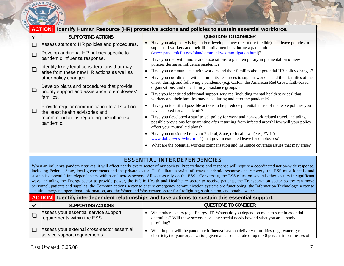

| <b>ACTION</b>                                                                     |           | Identify Human Resource (HR) protective actions and policies to sustain essential workforce.                                                                                                                              |  |  |
|-----------------------------------------------------------------------------------|-----------|---------------------------------------------------------------------------------------------------------------------------------------------------------------------------------------------------------------------------|--|--|
| <b>SUPPORTING ACTIONS</b>                                                         |           | <b>QUESTIONS TO CONSIDER</b>                                                                                                                                                                                              |  |  |
| Assess standard HR policies and procedures.                                       |           | Have you adapted existing and/or developed new (i.e., more flexible) sick leave policies to<br>support ill workers and their ill family members during a pandemic                                                         |  |  |
| Develop additional HR policies specific to                                        |           | (www.pandemicflu.gov/plan/community/commitigation.html)?                                                                                                                                                                  |  |  |
| pandemic influenza response.                                                      | $\bullet$ | Have you met with unions and associations to plan temporary implementation of new                                                                                                                                         |  |  |
| Identify likely legal considerations that may                                     |           | policies during an influenza pandemic?                                                                                                                                                                                    |  |  |
| arise from these new HR actions as well as                                        | $\bullet$ | Have you communicated with workers and their families about potential HR policy changes?                                                                                                                                  |  |  |
| other policy changes.                                                             |           | Have you coordinated with community resources to support workers and their families at the                                                                                                                                |  |  |
| Develop plans and procedures that provide                                         |           | onset, during, and following a pandemic (e.g. CERT, the American Red Cross, faith-based<br>organizations, and other family assistance groups)?                                                                            |  |  |
| priority support and assistance to employees'<br>families.                        | $\bullet$ | Have you identified additional support services (including mental health services) that<br>workers and their families may need during and after the pandemic?                                                             |  |  |
| Provide regular communication to all staff on<br>the latest health advisories and |           | Have you identified possible actions to help reduce potential abuse of the leave policies you<br>have adapted for a pandemic?                                                                                             |  |  |
| recommendations regarding the influenza<br>pandemic.                              | $\bullet$ | Have you developed a staff travel policy for work and non-work related travel, including<br>possible provisions for quarantine after returning from infected areas? How will your policy<br>affect your mutual aid plans? |  |  |
|                                                                                   |           | Have you considered relevant Federal, State, or local laws (e.g., FMLA<br>www.dol.gov/esa/whd/fmla/) that govern extended leave for employees?                                                                            |  |  |
|                                                                                   |           | What are the potential workers compensation and insurance coverage issues that may arise?                                                                                                                                 |  |  |
|                                                                                   |           |                                                                                                                                                                                                                           |  |  |

## ESSENTIAL INTERDEPENDENCIES

When an influenza pandemic strikes, it will affect nearly every sector of our society. Preparedness and response will require a coordinated nation-wide response, including Federal, State, local governments and the private sector. To facilitate a swift influenza pandemic response and recovery, the ESS must identify and sustain its essential interdependencies within and across sectors. All sectors rely on the ESS. Conversely, the ESS relies on several other sectors in significant ways including the Energy sector to provide power, the Public Health and Healthcare sector to receive patients, the Transportation sector so thy can move personnel, patients and supplies, the Communications sector to ensure emergency communication systems are functioning, the Information Technology sector to acquire emergent, operational information, and the Water and Wastewater sector for firefighting, sanitization, and potable water.

#### **ACTIONIdentify interdependent relationships and take actions to sustain this essential support.**

| <b>SUPPORTING ACTIONS</b>                                                    | <b>QUESTIONS TO CONSIDER</b>                                                                                                                                                               |
|------------------------------------------------------------------------------|--------------------------------------------------------------------------------------------------------------------------------------------------------------------------------------------|
| Assess your essential service support<br>requirements within the ESS.        | What other sectors (e.g., Energy, IT, Water) do you depend on most to sustain essential<br>operations? Will these sectors have any special needs beyond what you are already<br>providing? |
| Assess your external cross-sector essential<br>service support requirements. | What impact will the pandemic influenza have on delivery of utilities (e.g., water, gas,<br>electricity) to your organization, given an absentee rate of up to 40 percent in businesses of |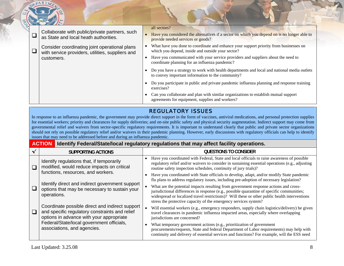| Collaborate with public/private partners, such<br>as State and local heath authorities.                         | all sectors?<br>Have you considered the alternatives if a sector on which you depend on is no longer able to<br>provide needed services or goods?                                                                                                                                 |
|-----------------------------------------------------------------------------------------------------------------|-----------------------------------------------------------------------------------------------------------------------------------------------------------------------------------------------------------------------------------------------------------------------------------|
| Consider coordinating joint operational plans<br>with service providers, utilities, suppliers and<br>customers. | What have you done to coordinate and enhance your support priority from businesses on<br>which you depend, inside and outside your sector?<br>Have you communicated with your service providers and suppliers about the need to<br>coordinate planning for an influenza pandemic? |
|                                                                                                                 | Do you have a strategy to work with health departments and local and national media outlets<br>to convey important information to the community?                                                                                                                                  |
|                                                                                                                 | Do you participate in public and private pandemic influenza planning and response training<br>exercises?<br>Can you collaborate and plan with similar organizations to establish mutual support<br>agreements for equipment, supplies and workers?                                |
|                                                                                                                 | <b>REGULATORY ISSUES</b>                                                                                                                                                                                                                                                          |

In response to an influenza pandemic, the government may provide direct support in the form of vaccines, antiviral medications, and personal protection supplies for essential workers; priority and clearances for supply deliveries; and on-site public safety and physical security augmentation. Indirect support may come from governmental relief and waivers from sector-specific regulatory requirements. It is important to understand clearly that public and private sector organizations should not rely on possible regulatory relief and/or waivers in their pandemic planning. However, early discussions with regulatory officials can help to identify issues that may need to be addressed before and during an influenza pandemic.

| <b>ACTION</b> Identify Federal/State/local regulatory regulations that may affect facility operations. |
|--------------------------------------------------------------------------------------------------------|
|--------------------------------------------------------------------------------------------------------|

|  | <b>SUPPORTING ACTIONS</b>                                                                                                                     |           | QUESTIONS TO CONSIDER                                                                                                                                                                                                                                                                                                                                   |
|--|-----------------------------------------------------------------------------------------------------------------------------------------------|-----------|---------------------------------------------------------------------------------------------------------------------------------------------------------------------------------------------------------------------------------------------------------------------------------------------------------------------------------------------------------|
|  | Identify regulations that, if temporarily<br>modified, would reduce impacts on critical                                                       |           | Have you coordinated with Federal, State and local officials to raise awareness of possible<br>regulatory relief and/or waivers to consider in sustaining essential operations (e.g., adjusting<br>routine safety inspection schedules, continuity of jury trials)?                                                                                     |
|  | functions, resources, and workers.                                                                                                            | $\bullet$ | Have you coordinated with State officials to develop, adapt, and/or modify State pandemic<br>flu plans to address regulatory issues, including pre-adoption of necessary legislation?                                                                                                                                                                   |
|  | Identify direct and indirect government support<br>options that may be necessary to sustain your<br>operations.                               |           | What are the potential impacts resulting from government response actions and cross-<br>jurisdictional differences in response (e.g., possible quarantine of specific communities;<br>widespread or localized travel restrictions)? Will these or other public health interventions<br>stress the protective capacity of the emergency services system? |
|  | Coordinate possible direct and indirect support<br>and specific regulatory constraints and relief<br>options in advance with your appropriate |           | Will essential workers (e.g., emergency responders, supply chain logistics/delivery) be given<br>travel clearances in pandemic influenza impacted areas, especially where overlapping<br>jurisdictions are concerned?                                                                                                                                   |
|  | Federal/State/local government officials,<br>associations, and agencies.                                                                      |           | What temporary government actions (e.g., prioritization of government<br>procurements/requests, State and federal Department of Labor requirements) may help with<br>continuity and delivery of essential services and functions? For example, will the ESS need                                                                                        |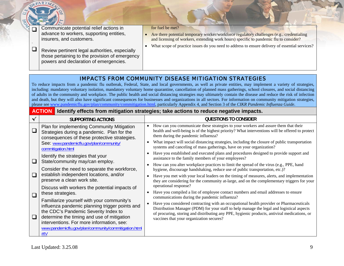|  | Communicate potential relief actions in<br>advance to workers, supporting entities,                                                        | for fuel be met?<br>Are there potential temporary worker/workforce regulatory challenges (e.g., credentialing |
|--|--------------------------------------------------------------------------------------------------------------------------------------------|---------------------------------------------------------------------------------------------------------------|
|  | insurers, and customers.                                                                                                                   | and licensing of workers, extending work hours) specific to pandemic flu to consider?                         |
|  | Review pertinent legal authorities, especially<br>those pertaining to the provision of emergency<br>powers and declaration of emergencies. | What scope of practice issues do you need to address to ensure delivery of essential services?                |

## IMPACTS FROM COMMUNITY DISEASE MITIGATION STRATEGIES

To reduce impacts from a pandemic flu outbreak, Federal, State, and local governments, as well as private entities, may implement a variety of strategies, including: mandatory voluntary isolation, mandatory voluntary home quarantine, cancellation of planned mass gatherings, school closures, and social distancing of adults in the community and workplace. The public health and social distancing strategies may ultimately contain the disease and reduce the risk of infection and death, but they will also have significant consequences for businesses and organizations in all sectors. For information on community mitigation strategies, please see [www.pandemicflu.gov/plan/community/commitigation.html,](http://www.pandemicflu.gov/plan/community/commitigation.html) particularly Appendix 4, and Section 3 of the *CIKR Pandemic Influenza Guide*.

#### **ACTIONIdentify effects from mitigation strategies; take actions to reduce negative impacts.**

|        | SUPPORTING ACTIONS                                                                                                                                                                                                                                                                              |  | QUESTIONS TO CONSIDER                                                                                                                                                                                                                                                                                                                                                             |
|--------|-------------------------------------------------------------------------------------------------------------------------------------------------------------------------------------------------------------------------------------------------------------------------------------------------|--|-----------------------------------------------------------------------------------------------------------------------------------------------------------------------------------------------------------------------------------------------------------------------------------------------------------------------------------------------------------------------------------|
| $\Box$ | Plan for implementing Community Mitigation<br>Strategies during a pandemic. Plan for the<br>consequences of these protective strategies.                                                                                                                                                        |  | How can you communicate these strategies to your workers and assure them that their<br>health and well-being is of the highest priority? What interventions will be offered to protect<br>them during the pandemic influenza?                                                                                                                                                     |
|        | See: www.pandemicflu.gov/plan/community/<br>commitigation.html                                                                                                                                                                                                                                  |  | What impact will social distancing strategies, including the closure of public transportation<br>systems and canceling of mass gatherings, have on your organization?                                                                                                                                                                                                             |
| $\Box$ | Identify the strategies that your<br>State/community may/can employ.<br>Consider the need to separate the workforce,<br>establish independent locations, and/or<br>preserve a clean work site.                                                                                                  |  | Have you established and executed plans and procedures designed to provide support and<br>assistance to the family members of your employees?                                                                                                                                                                                                                                     |
|        |                                                                                                                                                                                                                                                                                                 |  | How can you alter workplace practices to limit the spread of the virus (e.g., PPE, hand<br>hygiene, discourage handshaking, reduce use of public transportation, etc.)?                                                                                                                                                                                                           |
| $\Box$ |                                                                                                                                                                                                                                                                                                 |  | Have you met with your local leaders on the timing of measures, alerts, and implementation<br>they are considering for the community at-large, and on the complementary triggers for your                                                                                                                                                                                         |
| $\Box$ | Discuss with workers the potential impacts of<br>these strategies.                                                                                                                                                                                                                              |  | operational response?<br>Have you compiled a list of employee contact numbers and email addresses to ensure                                                                                                                                                                                                                                                                       |
| $\Box$ | Familiarize yourself with your community's<br>influenza pandemic planning trigger points and<br>the CDC's Pandemic Severity Index to<br>determine the timing and use of mitigation<br>interventions. For more information, see:<br>www.pandemicflu.gov/plan/community/commitigation.html<br>#IV |  | communications during the pandemic influenza?<br>Have you considered contracting with an occupational health provider or Pharmaceuticals<br>Distribution Manager (PDM) for your staff to help manage the legal and logistical aspects<br>of procuring, storing and distributing any PPE, hygienic products, antiviral medications, or<br>vaccines that your organization secures? |